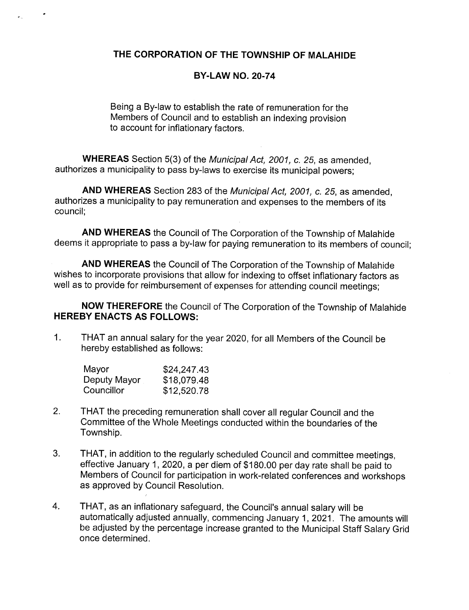## THE CORPORATION OF THE TOWNSHIP OF MALAHIDE

## BY-LAW NO. 20-74

Being a By-law to establish the rate of remuneration for the Members of Council and to establish an indexing provision to account for inflationary factors.

WHEREAS Section 5(3) of the Municipal Act, 2001, c. 25, as amended. authorizes a municipality to pass by- laws to exercise its municipal powers;

AND WHEREAS Section 283 of the Municipal Act, 2001, c. 25, as amended, authorizes a municipality to pay remuneration and expenses to the members of its council;

AND WHEREAS the Council of The Corporation of the Township of Malahide deems it appropriate to pass a by-law for paying remuneration to its members of council;

AND WHEREAS the Council of The Corporation of the Township of Malahide wishes to incorporate provisions that allow for indexing to offset inflationary factors as well as to provide for reimbursement of expenses for attending council meetings;

NOW THEREFORE the Council of The Corporation of the Township of Malahide HEREBY ENACTS AS FOLLOWS:

 $1.$ THAT an annual salary for the year 2020, for all Members of the Council be hereby established as follows:

| Mayor        | \$24,247.43 |
|--------------|-------------|
| Deputy Mayor | \$18,079.48 |
| Councillor   | \$12,520.78 |

- 2. THAT the preceding remuneration shall cover all regular Council and the Committee of the Whole Meetings conducted within the boundaries of the Township.
- 3. THAT, in addition to the regularly scheduled Council and committee meetings, effective January 1, 2020, <sup>a</sup> per diem of \$180. <sup>00</sup> per day rate shall be paid to Members of Council for participation in work -related conferences and workshops as approved by Council Resolution.
- 4. THAT, as an inflationary safeguard, the Council's annual salary will be automatically adjusted annually, commencing January 1, 2021. The amounts will be adjusted by the percentage increase granted to the Municipal Staff Salary Grid once determined.